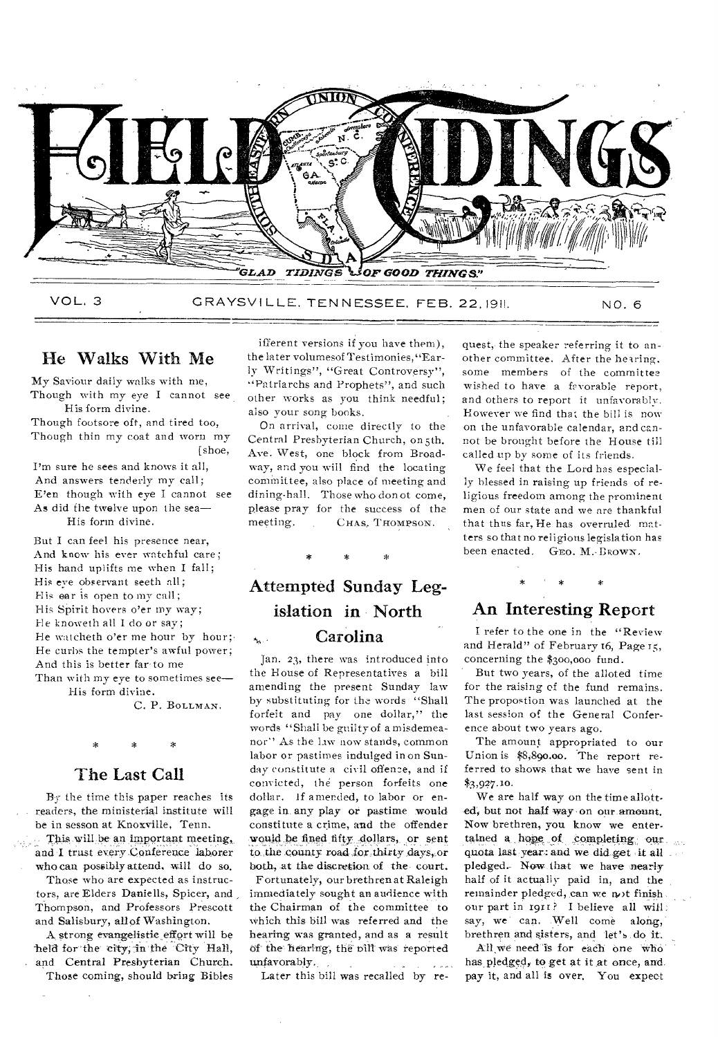

He Walks With Me

My Saviour daily walks with me, Though with my eye I cannot see His form divine.

Though footsore oft, and tired too, Though thin my coat and worn my [shoe,

I'm sure he sees and knows it all, And answers tenderly my call; E'en though with eye I cannot see As did the twelve upon the sea— His form divine.

But I can feel his presence near, And know his ever watchful care; His hand uplifts me when I fall; His eve observant seeth all; His ear is open to my call; His Spirit hovers o'er my way; He knoweth all I do or say; He watcheth o'er me hour by hour; He curbs the tempter's awful power; And this is better far-to me Than with my eye to sometimes see-

His form divine.

C. P. BOLLMAN.

#### The Last Call

By the time this paper reaches its readers, the ministerial institute will be in sesson at Knoxville, Tenn.

This will be an important meeting, and I trust every Conference laborer . who can possibly attend. will do so.

Those who are expected as instructors, are Elders Daniells, Spicer, and Thompson, and Professors Prescott

and Salisbury, all of Washington. A strong evangelisticeffart will be held for the city, in the City Hall, and Central Presbyterian Church.

Those coming, should bring Bibles

ifferent versions if you have them), the later volumesof Testimonies,"Early Writings", "Great Controversy", "Patriarchs and Prophets", and such other works as you think needful; also your song books.

On arrival, come directly to the Central Presbyterian Church, on 5th. Ave. West, one block from Broadway, and you will find the locating committee, also place of meeting and dining-hall. Those who don of come, please pray for the success of the<br>meeting. CHAS. THOMPSON. CHAS, THOMPSON.

# Attempted Sunday Legislation in North Carolina  $\hat{\mathbf{z}}_{\mathbf{k},i}$  .

Jan. 23, there was introduced into the House of Representatives a bill amending the present Sunday law by substituting for the words "Shall forfeit and pay one dollar," the words "Shall be guilty of a misdemeanor'' As the law now stands, common labor or pastimes indulged in on Sunday constitute a civil offence, and if convicted, the person forfeits one dollar. If amended, to labor or engage in. any play or pastime would constitute a crime, and the offender would be fined fifty dollars, or sent to the county road for thirty days, or both, at the discretion of the-court.

Fortunately, our brethren at Raleigh immediately sought an audience with the Chairman of the committee to Which this bill was referred and the hearing was granted, and as a result of the hearing, the bill was reported unfavorably.

Later this bill was recalled by re-

quest, the speaker referring it to another committee. After the hearing, some members of the committee wished to have a favorable report, and others to report it unfavorably. However we find that the bill is now on the unfavorable calendar, and cannot be brought before the House till called up by some of its friends.

We feel that the Lord has especially blessed in raising up friends of religious freedom among the prominent men of our state and we are thankful that thus far, He has overruled matters so that no religious legislation has been enacted. GEO. M. BROWN.

# An Interesting Report

I refer to the one in the "Review and Herald" of February 16, Page 15, concerning the \$300,000 fund.

But two years, of the alloted time for the raising of the fund remains. The propostion was launched at the last session of the General Conference about two years ago.

The amount appropriated to our Union is \$8,890.00. The report referred to shows that we have sent in \$3,927.10.

We are half way on the time allotted, but not half way on our amount. Nov brethren, you know we entertained a hope of completing our quota last year: and we did get it all pledged. Now that we have nearly half of it actually-paid in, and the remainder pledged, can we not finish. our part in 1911? I believe all will:<br>say, we can. Well come along. say, we can. Well come brethren and sisters, and let's do it.

All we need is for each one who has pledged, to get at it at once, and. pay it, and all is over. You expect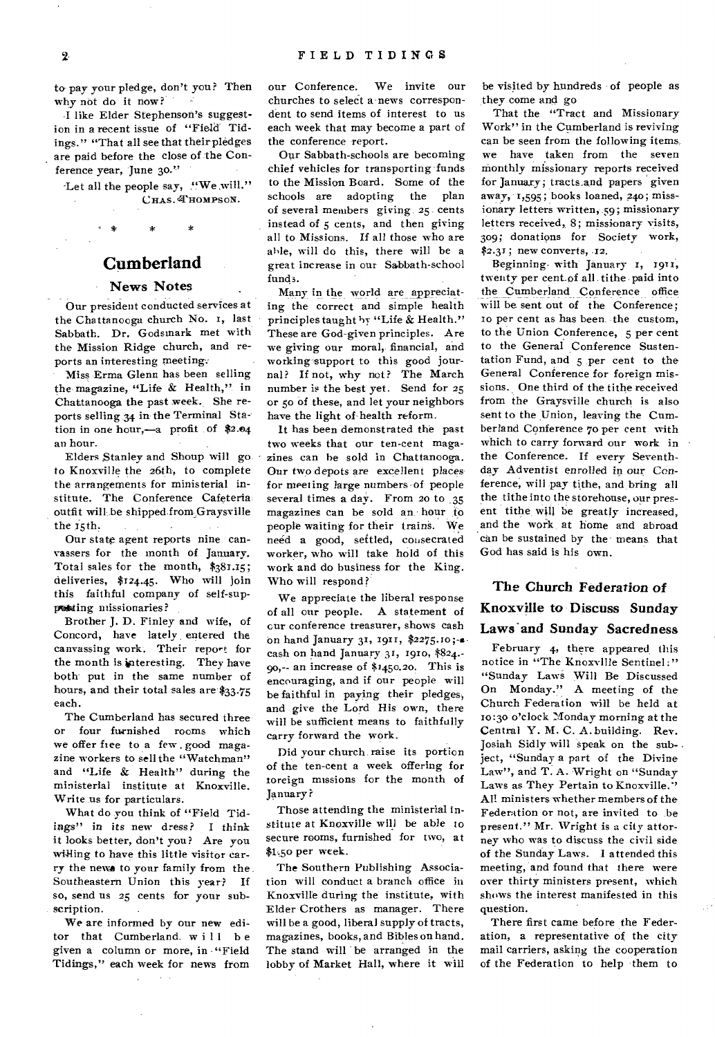to pay your pledge, don't you? Then why not do it now?

I like Elder Stephenson's suggestion in a recent issue of "Field Tidings." "That all see that their pledges are paid before the close of the Conference year, June 30."

Let all the people say, "We will." CHAS. THOMPSON.

**Cumberland** 

 $\mathbf{A}$  $\ast$ 

#### News Notes

Our president conducted services at the Chattanooga church No. 1, last Sabbath. Dr. Godsmark met with the Mission Ridge church, and reports an interesting meeting.

Miss Erma Glenn has been selling the magazine, "Life & Health," in Chattanooga the past week. She reports selling 34 in the Terminal Station in one hour,—a profit of \$2.e4 an hour.

Elders Stanley and Shoup will go to Knoxville the 26th, to complete the arrangements for ministerial institute. The Conference Cafeteria outfit will be shipped fromGraysville the x5th.

Our state agent reports nine canvassers for the month of January. Total sales for the month, \$381.15; deliveries, \$124.45. Who will join this faithful company of self-suppoking missionaries?

Brother J. D. Finley and wife, of Concord, have lately, entered the canvassing work. Their report for the month is interesting. They have both put in the same number of hours, and their total sales are \$33.75 each.

The Cumberland has secured three or four furnished rooms which we offer free to a few . good magazine workers to sell the "Watchman" and "Life & Health" during the ministerial institute at Knoxville. Write us for particulars.

What do you think of "Field Tidings" *in its new* dress? I think it looks better, don't you? Are you willing to have this little visitor carry the newe to your family from the. Southeastern Union this year? If so, send us 25 cents for your subscription.

We are informed by our new editor that Cumberland will be given a column or more, in "Field Tidings," each week for news from

our Conference. We invite our churches to select a news correspondent to send items of interest to us each week that may become a part of the conference report.

Our Sabbath-schools are becoming chief vehicles for transporting funds to the Mission Board. Some of the schools are adopting the plan of several members giving 25 cents instead of 5 cents, and then giving all to Missions. If all those who are able, will do this, there will be a great inerease in our Sabbath-school funds.

Many in the world are appreciating the correct and simple health principles taught by "Life & Health." These are God-given principles. Are we giving our moral, financial, and working support to this good journal? If not, why not? The March number is the best yet. Send for 25 or 5o of these, and let your neighbors have the light of health reform.

It has been demonstrated the past two weeks that our ten-cent magazines can be sold in Chattanooga. Our two depots are excellent places for meeting large numbers of people several times a day. From 20 to 35 magazines can be sold an hour to people waiting for their trains. We need a good, settled, consecrated worker, who will take hold of this work and do business for the King. Who will respond?

We appreciate the liberal response of all our people. A statement of cur conference treasurer, shows cash on hand January 31, 1911, \$2275.ro ;-acash on hand January 31, 1910, \$824.- 90,-- an increase of \$1450.20. This is encouraging, and if our people will be faithful in paying their pledges, and give the Lord His own, there will be sufficient means to faithfully carry forward the work.

Did your church raise its portion of the ten-cent a week offering for toreign missions for the month of January?

Those attending the ministerial institute at Knoxville will be able to secure rooms, furnished for two, at \$1.5o per week.

The Southern Publishing Association will conduct a branch office in Knoxville during the institute, with Elder Crothers as manager. There will be a good, liberal supply of tracts, magazines, books, and Bibles on hand. The stand will be arranged in the lobby of Market Hall, where it will be visited by hundreds of people as they come and go

That the "Tract and Missionary Work" in the Cumberland is reviving can be seen from the following items, we have taken from the seven monthly missionary reports received for January; tracts.and papers given away,  $1,595$ ; books loaned,  $240$ ; missionary letters written, 59; missionary letters received, 8; missionary visits, 309; donations for Society work,  $$2.31$ ; new converts,  $.12$ .

Beginning. with January I, 1911, twenty per cent.of all tithe paid into the Cumberland Conference office will be sent out of the Conference; to per cent as has been, the custom, to the Union Conference, 5 per cent to the General Conference Sustentation Fund, and 5 per cent to the General Conference for foreign missions., One third of the tithe received from the Graysville church is also sent to the Union, leaving the Cumberland Conference 70 per cent with which to carry forward our work in the Conference. If every Seventhday Adventist enrolled in our Conference, will pay tithe, and, bring all the tithe into the storehouse, our present tithe, will be greatly increased, and the work, at home and abroad can be sustained by the means that God has said is his own.

The Church *Federation* of Knoxville to Discuss Sunday Laws'and Sunday Sacredness

February 4, there appeared this notice in "The Knoxville Sentinel:" "Sunday Laws Will Be Discussed On Monday." A meeting of the Church Federation will be held at to:30 o'clock Monday morning at the Central Y. M. C. A. building. Rev. Josiah Sidly will speak on the subject, "Sunday a part of the Divine Law", and T. A. Wright on "Sunday Laws as They Pertain to Knoxville." All ministers whether members of the Federation or not, are invited to be present." Mr. Wright is a city attorney who was to discuss the civil side of the Sunday Laws. I attended this meeting, and found that there were over thirty ministers present, which shows the interest manifested in this question.

There first came before the Federation, a representative of the city mail carriers, asking the cooperation of the Federation to help them to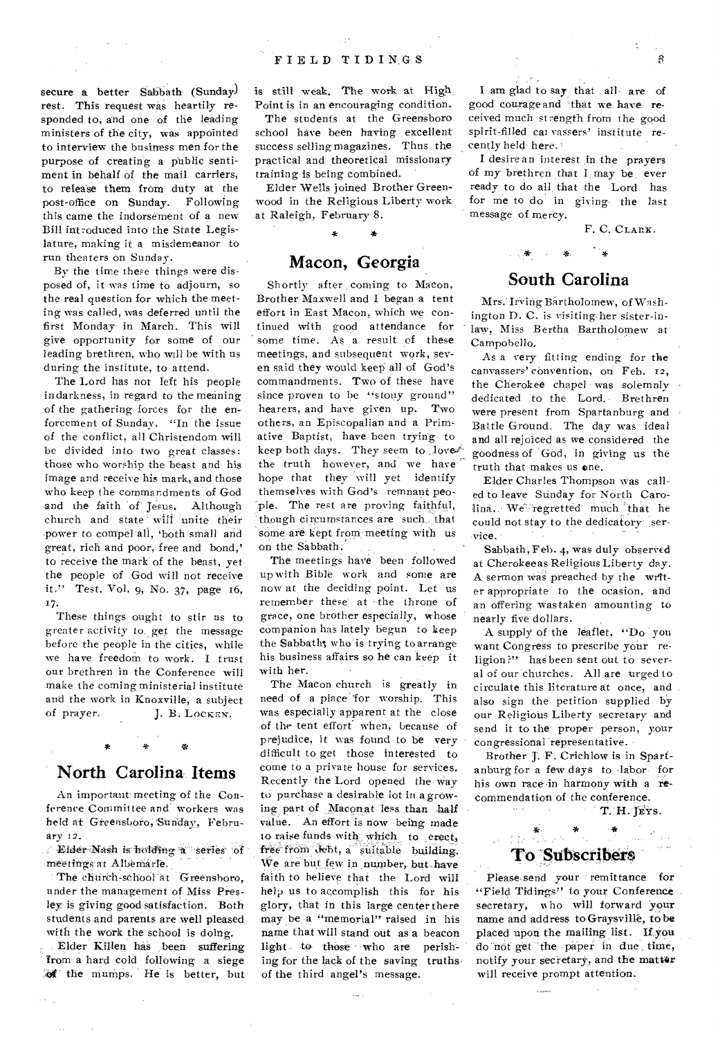secure a better Sabbath (Sunday) rest. This request was heartily responded to, and one of the leading ministers of the city, was appointed to interview the business men for the purpose of creating a public sentiment in behalf of the mail carriers, to release them from duty at the<br>nost-office on Sunday. Following post-office on Sunday. this came the indorsement of a new Bill introduced into the State Legislature, making it a misdemeanor to run theaters on Sunday.

By the time these things were disposed of, it was time to adjourn, so the real question for which the meeting was called, was deferred until the first Monday in March. This will give opportunity for some of our leading brethren, who will be with us during the institute, to attend.

The Lord has not left his people in darkness, in regard to the meaning of the gathering forces for the enforcement of Sunday. "In the issue of the conflict, all Christendom will be divided into two great classes: those who worship the beast and his image and receive his mark, and those who keep the commandments of God and the faith of Jesus. Although church and state will unite their power to compel all, 'both small and great, rich and poor, free and bond,' to receive the mark of the beast, yet the people of God will not receive it." Test. Vol. 9, No. 37, page 16, 17.

These things ought to stir us to greater activity-to get the message before the people in the cities, while we have freedom to work. I trust our brethren in the Conference will make the coming ministerial institute and the work in Knoxville, a subject of prayer. J. B. LOCKEN.

### **North Carolina Items**

An important-meeting of the Conference Commit tee and workers was held at 'Greensboro, Sunday, February 12.

*i* Elder Nash is holding a series of meetings at Albemarle.

The church-school at Greensboro, under the management of Miss Presley is giving good satisfaction. Both students and parents are well pleased with the work the school is doing.

Elder Killen has been suffering from a hard cold following a siege *\_4('* the mumps. He' is better, but

is still weak. The work at High Point is in an encouraging condition.

The students at the Greensboro school have been having excellent success selling magazines. Thus the practical and theoretical missionary training is being combined.

Elder Wells joined Brother Greenwood in the Religious Liberty work at Raleigh, February 8.

#### **Macon, Georgia**

Shortly after coming to Macon, Brother Maxwell and I began a tent effort in East Macon, which we continued with good attendance for some time. As a result of these meetings, and subsequent work, seven said they would keep all of God's commandments. Two of these have since proven to be "stony ground" hearers, and have given up. Two others, an Episcopalian and a Primative Baptist, have been trying to keep both days. They seem to love  $\mathbb{R}^d$ the truth however, and we have hope that they will yet identify themselves with God's remnant peopie. The rest are proving faithful, though circumstances are such. that some are kept from meeting with us on the Sabbath,

The meetings have been followed up with Bible work and some are now at the deciding point. Let us remember these' at - the throne of grace, one brother especially, whose companion has lately begun to keep the Sabbath; who'is trying to arrange his business affairs so he can keep it with her.

The Macon church is greatly in need of a place for worship. This was especially apparent at the close of the tent effort when, because of prejudice, it was found to be very difficult to get those interested to come to a private house for services. Recently the Lord opened the Way to purchase a desirable lot in a growing part of Maconat less than half value. An effort is now being made to raise funds with which to erect,<br>free from debt, a suitable building. We are but few in number, but have faith to believe that the Lord will help us to accomplish this for his glory, that in this large center there may be a "memorial" raised in his name that will stand out as a beacon light to those who are perishing for the lack of the saving truths of the third angel's message.

I am glad to say that all are of good courage and 'that we have received much strength from the good spirit-filled cat vassers' institute recently held here.

I desire an interest in the prayers of my brethren that I may be, ever ready to do all, that the Lord has for me to do in giving the last message of mercy.

F. C. CLARK.

### **South Carolina**

Mrs. Irving Bartholomew, of Washington D. C. is visiting-her sister-in law, Miss Bertha Bartholomew at Campobello.

As a very fitting ending for the canvassers' convention, on Feb. 12, the Cherokee chapel was solemnly dedicated to the Lord. Brethren were present from Spartanburg and Battle Ground. The day was ideal and all rejoiced as we considered the goodness of God, in giving us the truth that makes us one.

Elder Charles Thompson was called to leave Siinday for North Carolina. We regretted much that he could not stay to the dedicatory service.

Sabbath; Feb. 4, was duly observed at Cherokeeas Religious Liberty day. A sermon was preached by the writer appropriate to the ocasion, and an offering was taken amounting to nearly five dollars.

A supply of the leaflet, "Do you want Congress to prescribe your religion?" has been sent out to several of our churches. All are urged to circulate this literature at once, and also sign the petition supplied by our Religious Liberty secretary and send it to the proper person, your congressional representative.

Brother J. F. Crichlow is in Spartanburg for a few days to labor for his own race-in harmony with a recommendation of the conference.

T. H. TEYS.

# To Subscribers

\* -\*

Please send your remittance for "Field Tidings" to your Conference secretary, who will forward your name and address toGraysville, to be placed upon the mailing list. If you do not get the paper in due time, notify your secretary, and the matter will receive prompt attention.